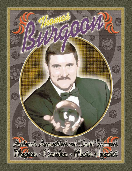